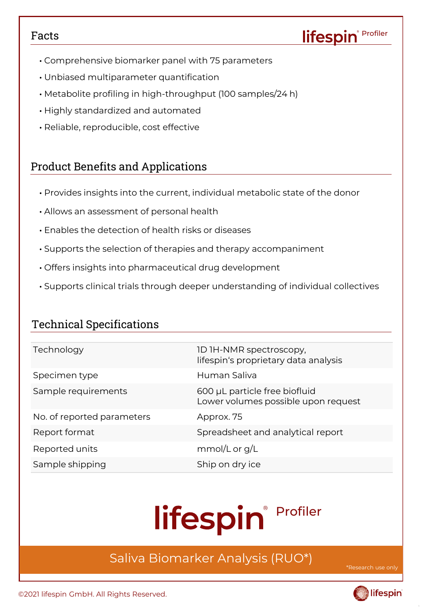### Facts

- Comprehensive biomarker panel with 75 parameters
- Unbiased multiparameter quantification
- Metabolite profiling in high-throughput (100 samples/24 h)
- Highly standardized and automated
- Reliable, reproducible, cost effective

### Product Benefits and Applications

- Provides insights into the current, individual metabolic state of the donor
- Allows an assessment of personal health
- Enables the detection of health risks or diseases
- Supports the selection of therapies and therapy accompaniment
- Offers insights into pharmaceutical drug development
- Supports clinical trials through deeper understanding of individual collectives

### Technical Specifications

| Technology                 | 1D 1H-NMR spectroscopy,<br>lifespin's proprietary data analysis      |
|----------------------------|----------------------------------------------------------------------|
| Specimen type              | Human Saliva                                                         |
| Sample requirements        | 600 µL particle free biofluid<br>Lower volumes possible upon request |
| No. of reported parameters | Approx. 75                                                           |
| Report format              | Spreadsheet and analytical report                                    |
| Reported units             | mmol/L or $g/L$                                                      |
| Sample shipping            | Ship on dry ice                                                      |

# lifespin<sup>® Profiler</sup>

## Saliva Biomarker Analysis (RUO\*)

**Asearch us** 

Profiler

lifespin®



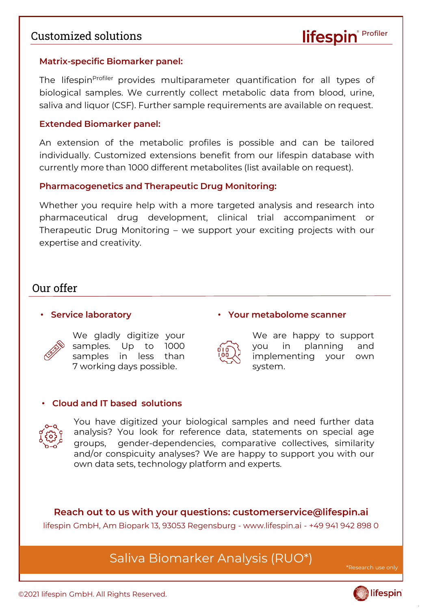### Customized solutions

### **Matrix-specific Biomarker panel:**

The lifespin<sup>profiler</sup> provides multiparameter quantification for all types of biological samples. We currently collect metabolic data from blood, urine, saliva and liquor (CSF). Further sample requirements are available on request.

### **Extended Biomarker panel:**

An extension of the metabolic profiles is possible and can be tailored individually. Customized extensions benefit from our lifespin database with currently more than 1000 different metabolites (list available on request).

### **Pharmacogenetics and Therapeutic Drug Monitoring:**

Whether you require help with a more targeted analysis and research into pharmaceutical drug development, clinical trial accompaniment or Therapeutic Drug Monitoring – we support your exciting projects with our expertise and creativity.

### Our offer

### • **Service laboratory**



We gladly digitize your samples. Up to 1000 samples in less than 7 working days possible.



### • **Your metabolome scanner**

We are happy to support you in planning and implementing your own system.

### • **Cloud and IT based solutions**



You have digitized your biological samples and need further data analysis? You look for reference data, statements on special age groups, gender-dependencies, comparative collectives, similarity and/or conspicuity analyses? We are happy to support you with our own data sets, technology platform and experts.

**Reach out to us with your questions: customerservice@lifespin.ai**  lifespin GmbH, Am Biopark 13, 93053 Regensburg - www.lifespin.ai - +49 941 942 898 0

### Saliva Biomarker Analysis (RUO\*)

\*Research use

Profiler

lifespir